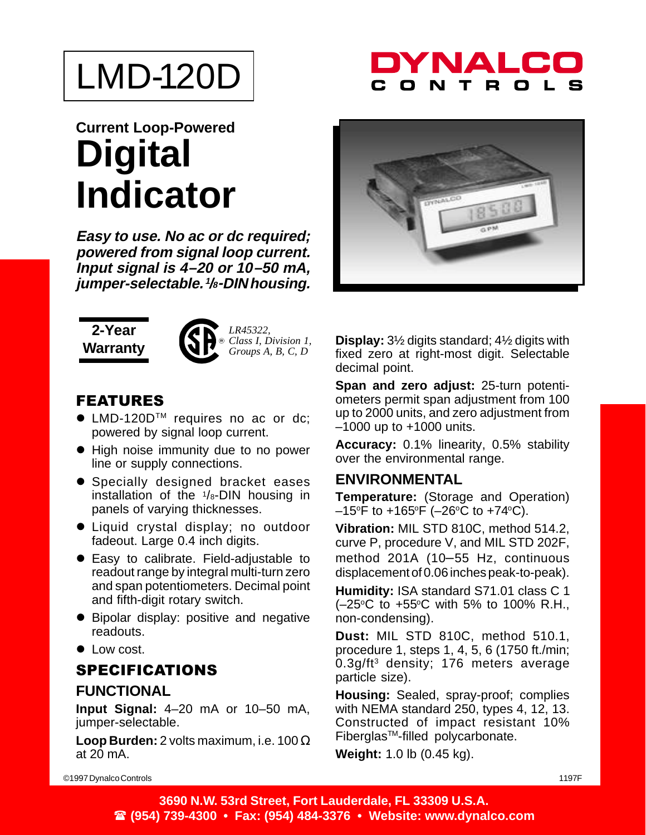# LMD-120D

### DYNALC R.

### **Current Loop-Powered Digital Indicator**

**Easy to use. No ac or dc required; powered from signal loop current. Input signal is 4–20 or 10–50 mA, jumper-selectable. <sup>1</sup> /8-DIN housing.**

#### **2-Year Warranty**



*LR45322, Class I, Division 1, Groups A, B, C, D*

#### **FEATURES**

- LMD-120D<sup>™</sup> requires no ac or dc; powered by signal loop current.
- High noise immunity due to no power line or supply connections.
- **•** Specially designed bracket eases installation of the  $1/s$ -DIN housing in panels of varying thicknesses.
- Liquid crystal display; no outdoor fadeout. Large 0.4 inch digits.
- **Easy to calibrate. Field-adjustable to** readout range by integral multi-turn zero and span potentiometers. Decimal point and fifth-digit rotary switch.
- Bipolar display: positive and negative readouts.
- Low cost.

#### **SPECIFICATIONS**

#### **FUNCTIONAL**

**Input Signal:** 4–20 mA or 10–50 mA, jumper-selectable.

**Loop Burden:** 2 volts maximum, i.e. 100 Ω at 20 mA.



**Display:** 3½ digits standard; 4½ digits with fixed zero at right-most digit. Selectable decimal point.

**Span and zero adjust:** 25-turn potentiometers permit span adjustment from 100 up to 2000 units, and zero adjustment from –1000 up to +1000 units.

**Accuracy:** 0.1% linearity, 0.5% stability over the environmental range.

#### **ENVIRONMENTAL**

**Temperature:** (Storage and Operation)  $-15^{\circ}$ F to  $+165^{\circ}$ F ( $-26^{\circ}$ C to  $+74^{\circ}$ C).

**Vibration:** MIL STD 810C, method 514.2, curve P, procedure V, and MIL STD 202F, method 201A (10–55 Hz, continuous displacement of 0.06 inches peak-to-peak).

**Humidity:** ISA standard S71.01 class C 1  $(-25^{\circ}C)$  to  $+55^{\circ}C$  with 5% to 100% R.H., non-condensing).

**Dust:** MIL STD 810C, method 510.1, procedure 1, steps 1, 4, 5, 6 (1750 ft./min; 0.3g/ft<sup>3</sup> density; 176 meters average particle size).

**Housing:** Sealed, spray-proof; complies with NEMA standard 250, types 4, 12, 13. Constructed of impact resistant 10% FiberglasTM-filled polycarbonate.

**Weight:** 1.0 lb (0.45 kg).

©1997 Dynalco Controls 1197F